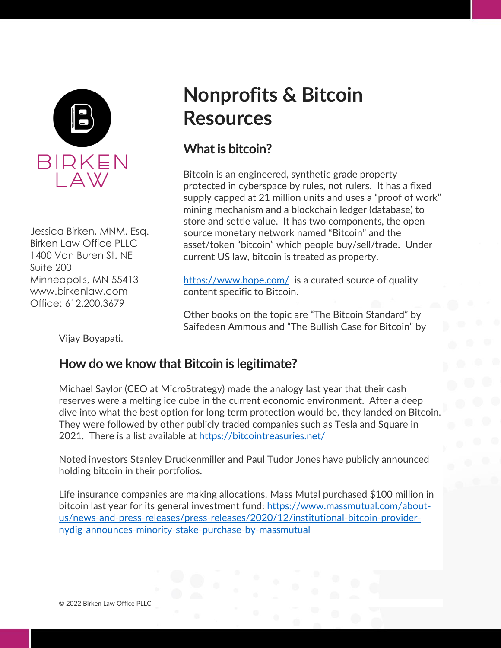

Jessica Birken, MNM, Esq. Birken Law Office PLLC 1400 Van Buren St. NE Suite 200 Minneapolis, MN 55413 www.birkenlaw.com Office: 612.200.3679

# **Nonprofits & Bitcoin Resources**

## **What is bitcoin?**

Bitcoin is an engineered, synthetic grade property protected in cyberspace by rules, not rulers. It has a fixed supply capped at 21 million units and uses a "proof of work" mining mechanism and a blockchain ledger (database) to store and settle value. It has two components, the open source monetary network named "Bitcoin" and the asset/token "bitcoin" which people buy/sell/trade. Under current US law, bitcoin is treated as property.

<https://www.hope.com/> is a curated source of quality content specific to Bitcoin.

Other books on the topic are "The Bitcoin Standard" by Saifedean Ammous and "The Bullish Case for Bitcoin" by

Vijay Boyapati.

## **How do we know that Bitcoin is legitimate?**

Michael Saylor (CEO at MicroStrategy) made the analogy last year that their cash reserves were a melting ice cube in the current economic environment. After a deep dive into what the best option for long term protection would be, they landed on Bitcoin. They were followed by other publicly traded companies such as Tesla and Square in 2021. There is a list available at<https://bitcointreasuries.net/>

Noted investors Stanley Druckenmiller and Paul Tudor Jones have publicly announced holding bitcoin in their portfolios.

Life insurance companies are making allocations. Mass Mutal purchased \$100 million in bitcoin last year for its general investment fund: [https://www.massmutual.com/about](https://www.massmutual.com/about-us/news-and-press-releases/press-releases/2020/12/institutional-bitcoin-provider-nydig-announces-minority-stake-purchase-by-massmutual)[us/news-and-press-releases/press-releases/2020/12/institutional-bitcoin-provider](https://www.massmutual.com/about-us/news-and-press-releases/press-releases/2020/12/institutional-bitcoin-provider-nydig-announces-minority-stake-purchase-by-massmutual)[nydig-announces-minority-stake-purchase-by-massmutual](https://www.massmutual.com/about-us/news-and-press-releases/press-releases/2020/12/institutional-bitcoin-provider-nydig-announces-minority-stake-purchase-by-massmutual)